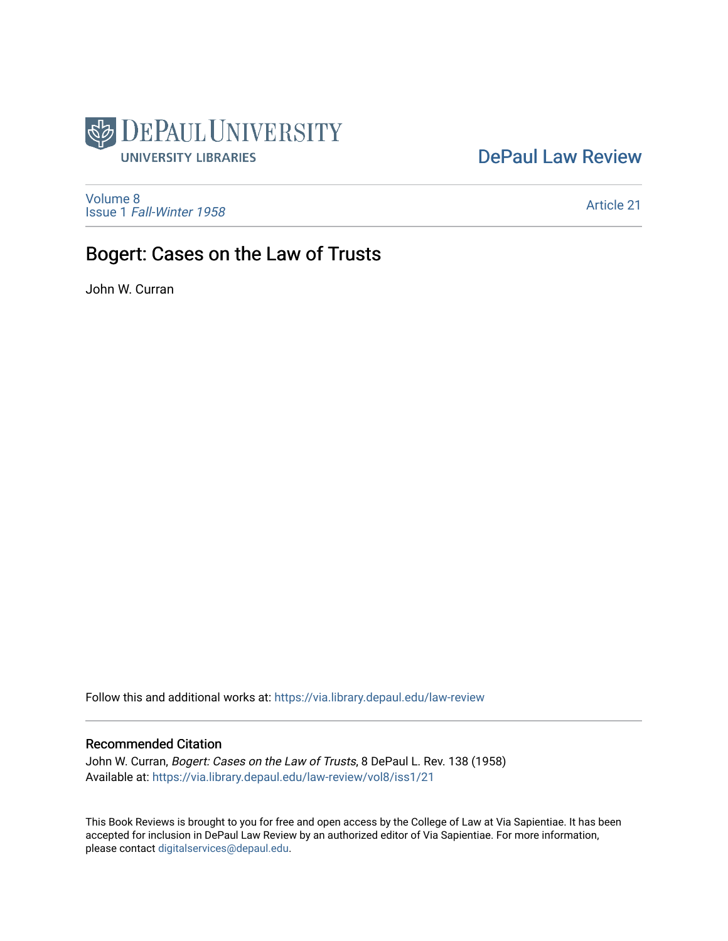

## [DePaul Law Review](https://via.library.depaul.edu/law-review)

[Volume 8](https://via.library.depaul.edu/law-review/vol8) Issue 1 [Fall-Winter 1958](https://via.library.depaul.edu/law-review/vol8/iss1)

[Article 21](https://via.library.depaul.edu/law-review/vol8/iss1/21) 

## Bogert: Cases on the Law of Trusts

John W. Curran

Follow this and additional works at: [https://via.library.depaul.edu/law-review](https://via.library.depaul.edu/law-review?utm_source=via.library.depaul.edu%2Flaw-review%2Fvol8%2Fiss1%2F21&utm_medium=PDF&utm_campaign=PDFCoverPages) 

## Recommended Citation

John W. Curran, Bogert: Cases on the Law of Trusts, 8 DePaul L. Rev. 138 (1958) Available at: [https://via.library.depaul.edu/law-review/vol8/iss1/21](https://via.library.depaul.edu/law-review/vol8/iss1/21?utm_source=via.library.depaul.edu%2Flaw-review%2Fvol8%2Fiss1%2F21&utm_medium=PDF&utm_campaign=PDFCoverPages) 

This Book Reviews is brought to you for free and open access by the College of Law at Via Sapientiae. It has been accepted for inclusion in DePaul Law Review by an authorized editor of Via Sapientiae. For more information, please contact [digitalservices@depaul.edu.](mailto:digitalservices@depaul.edu)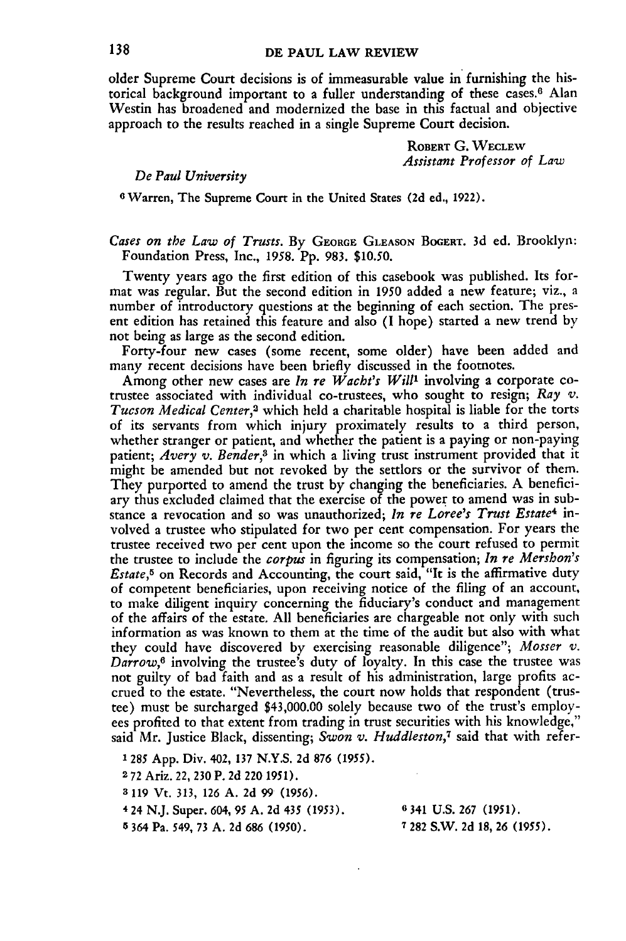older Supreme Court decisions is of immeasurable value in furnishing the historical background important to a fuller understanding of these cases.<sup>6</sup> Alan Westin has broadened and modernized the base in this factual and objective approach to the results reached in a single Supreme Court decision.

> **ROBERT G. WECLEW** *Assistant Professor of Law*

## *De Paul University*

**0** Warren, The Supreme Court in the United States **(2d** ed., 1922).

*Cases on the Law of Trusts.* By **GEORGE GLEASON BOGERT.** 3d ed. Brooklyn: Foundation Press, Inc., 1958. Pp. 983. \$10.50.

Twenty years ago the first edition of this casebook was published. Its format was regular. But the second edition in **1950** added a new feature; viz., a number of introductory questions at the beginning of each section. The present edition has retained this feature and also (I hope) started a new trend by not being as large as the second edition.

Forty-four new cases (some recent, some older) have been added and many recent decisions have been briefly discussed in the footnotes.

Among other new cases are *In re Wacht's Will'* involving a corporate cotrustee associated with individual co-trustees, who sought to resign; *Ray v. Tucson Medical Center,2* which held a charitable hospital is liable for the torts of its servants from which injury proximately results to a third person, whether stranger or patient, and whether the patient is a paying or non-paying patient; *Avery v. Bender,3* in which a living trust instrument provided that it might be amended but not revoked by the settlors or the survivor of them. They purported to amend the trust by changing the beneficiaries. A beneficiary thus excluded claimed that the exercise of the power to amend was in substance a revocation and so was unauthorized; *In re Loree's Trust Estate4* involved a trustee who stipulated for two per cent compensation. For years the trustee received two per cent upon the income so the court refused to permit the trustee to include the *corpus* in figuring its compensation; *In re Mershon's Estate,5* on Records and Accounting, the court said, "It is the affirmative duty of competent beneficiaries, upon receiving notice of the filing of an account, to make diligent inquiry concerning the fiduciary's conduct and management of the affairs of the estate. All beneficiaries are chargeable not only with such information as was known to them at the time of the audit but also with what they could have discovered by exercising reasonable diligence"; *Mosser v. Darrow,6* involving the trustee's duty of loyalty. In this case the trustee was not guilty of bad faith and as a result of his administration, large profits accrued to the estate. "Nevertheless, the court now holds that respondent (trustee) must be surcharged \$43,000.00 solely because two of the trust's employees profited to that extent from trading in trust securities with his knowledge," said Mr. Justice Black, dissenting; *Swon v. Huddleston,7* said that with refer-

1285 App. Div. 402, **137 N.Y.S.** 2d **876 (1955).**

**2 72** Ariz. 22, **230** P. **2d** 220 1951).

**<sup>3</sup>**119 Vt. 313, **126** A. **2d** 99 **(1956).**

4 24 N.J. Super. 604, **95** A. **2d** 435 **(1953). 0 341** U.S. **267 (1951).**

**5** 364 Pa. **549,** 73 A. **2d** 686 **(1950). 7** 282 S.W. **2d** 18, 26 **(1955).**